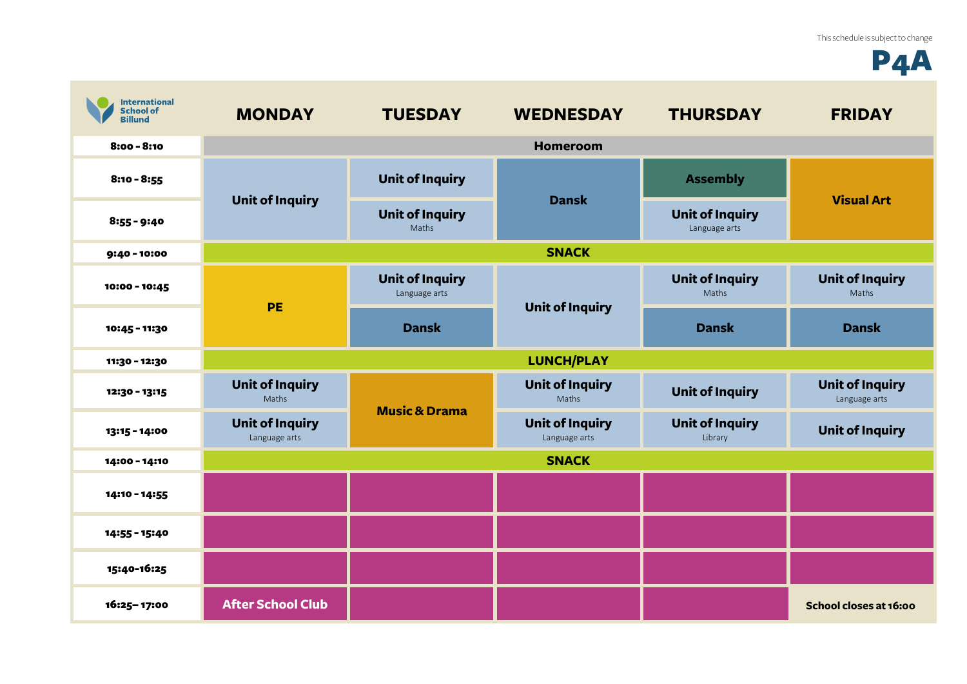## P4A

| <b>International</b><br><b>School of</b><br><b>Billund</b> | <b>MONDAY</b>                                                              | <b>TUESDAY</b>                          | <b>WEDNESDAY</b>                        | <b>THURSDAY</b>                         | <b>FRIDAY</b>                           |
|------------------------------------------------------------|----------------------------------------------------------------------------|-----------------------------------------|-----------------------------------------|-----------------------------------------|-----------------------------------------|
| $8:00 - 8:10$                                              |                                                                            |                                         | <b>Homeroom</b>                         |                                         |                                         |
| $8:10 - 8:55$                                              | <b>Unit of Inquiry</b>                                                     | <b>Unit of Inquiry</b>                  | <b>Dansk</b>                            | <b>Assembly</b>                         | <b>Visual Art</b>                       |
| $8:55 - 9:40$                                              |                                                                            | <b>Unit of Inquiry</b><br>Maths         |                                         | <b>Unit of Inquiry</b><br>Language arts |                                         |
| 9:40 - 10:00                                               |                                                                            |                                         | <b>SNACK</b>                            |                                         |                                         |
| 10:00 - 10:45                                              | <b>PE</b>                                                                  | <b>Unit of Inquiry</b><br>Language arts | <b>Unit of Inquiry</b>                  | <b>Unit of Inquiry</b><br>Maths         | <b>Unit of Inquiry</b><br>Maths         |
| 10:45 - 11:30                                              |                                                                            | <b>Dansk</b>                            |                                         | <b>Dansk</b>                            | <b>Dansk</b>                            |
| 11:30 - 12:30                                              |                                                                            |                                         | <b>LUNCH/PLAY</b>                       |                                         |                                         |
| 12:30 - 13:15                                              | <b>Unit of Inquiry</b><br>Maths<br><b>Unit of Inquiry</b><br>Language arts | <b>Music &amp; Drama</b>                | <b>Unit of Inquiry</b><br>Maths         | <b>Unit of Inquiry</b>                  | <b>Unit of Inquiry</b><br>Language arts |
| 13:15 - 14:00                                              |                                                                            |                                         | <b>Unit of Inquiry</b><br>Language arts | <b>Unit of Inquiry</b><br>Library       | <b>Unit of Inquiry</b>                  |
| 14:00 - 14:10                                              | <b>SNACK</b>                                                               |                                         |                                         |                                         |                                         |
| 14:10 - 14:55                                              |                                                                            |                                         |                                         |                                         |                                         |
| 14:55 - 15:40                                              |                                                                            |                                         |                                         |                                         |                                         |
| 15:40-16:25                                                |                                                                            |                                         |                                         |                                         |                                         |
| 16:25-17:00                                                | <b>After School Club</b>                                                   |                                         |                                         |                                         | School closes at 16:00                  |